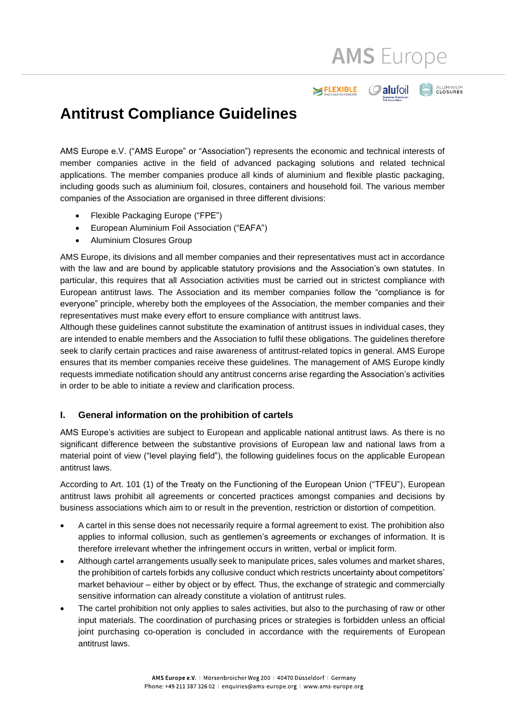**AMS** Europe

**O** alufoil

ELEXIBLE

**ALUMINIUM**<br>CLOSURES

# **Antitrust Compliance Guidelines**

AMS Europe e.V. ("AMS Europe" or "Association") represents the economic and technical interests of member companies active in the field of advanced packaging solutions and related technical applications. The member companies produce all kinds of aluminium and flexible plastic packaging, including goods such as aluminium foil, closures, containers and household foil. The various member companies of the Association are organised in three different divisions:

- Flexible Packaging Europe ("FPE")
- European Aluminium Foil Association ("EAFA")
- Aluminium Closures Group

AMS Europe, its divisions and all member companies and their representatives must act in accordance with the law and are bound by applicable statutory provisions and the Association's own statutes. In particular, this requires that all Association activities must be carried out in strictest compliance with European antitrust laws. The Association and its member companies follow the "compliance is for everyone" principle, whereby both the employees of the Association, the member companies and their representatives must make every effort to ensure compliance with antitrust laws.

Although these guidelines cannot substitute the examination of antitrust issues in individual cases, they are intended to enable members and the Association to fulfil these obligations. The guidelines therefore seek to clarify certain practices and raise awareness of antitrust-related topics in general. AMS Europe ensures that its member companies receive these guidelines. The management of AMS Europe kindly requests immediate notification should any antitrust concerns arise regarding the Association's activities in order to be able to initiate a review and clarification process.

#### **I. General information on the prohibition of cartels**

AMS Europe's activities are subject to European and applicable national antitrust laws. As there is no significant difference between the substantive provisions of European law and national laws from a material point of view ("level playing field"), the following guidelines focus on the applicable European antitrust laws.

According to Art. 101 (1) of the Treaty on the Functioning of the European Union ("TFEU"), European antitrust laws prohibit all agreements or concerted practices amongst companies and decisions by business associations which aim to or result in the prevention, restriction or distortion of competition.

- A cartel in this sense does not necessarily require a formal agreement to exist. The prohibition also applies to informal collusion, such as gentlemen's agreements or exchanges of information. It is therefore irrelevant whether the infringement occurs in written, verbal or implicit form.
- Although cartel arrangements usually seek to manipulate prices, sales volumes and market shares, the prohibition of cartels forbids any collusive conduct which restricts uncertainty about competitors' market behaviour – either by object or by effect. Thus, the exchange of strategic and commercially sensitive information can already constitute a violation of antitrust rules.
- The cartel prohibition not only applies to sales activities, but also to the purchasing of raw or other input materials. The coordination of purchasing prices or strategies is forbidden unless an official joint purchasing co-operation is concluded in accordance with the requirements of European antitrust laws.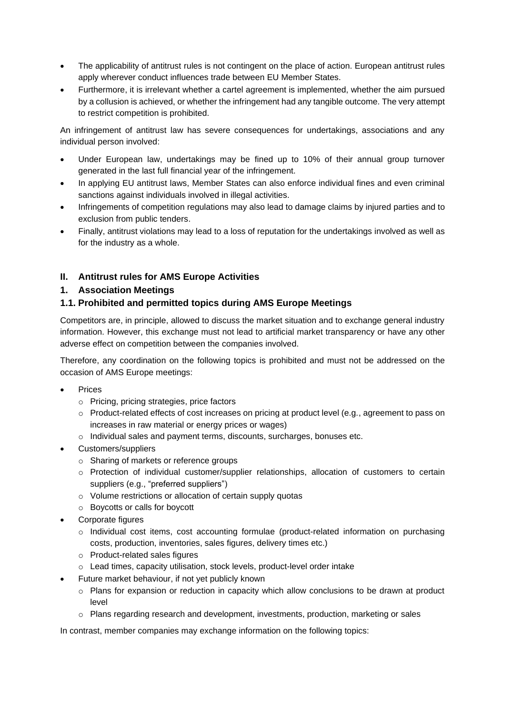- The applicability of antitrust rules is not contingent on the place of action. European antitrust rules apply wherever conduct influences trade between EU Member States.
- Furthermore, it is irrelevant whether a cartel agreement is implemented, whether the aim pursued by a collusion is achieved, or whether the infringement had any tangible outcome. The very attempt to restrict competition is prohibited.

An infringement of antitrust law has severe consequences for undertakings, associations and any individual person involved:

- Under European law, undertakings may be fined up to 10% of their annual group turnover generated in the last full financial year of the infringement.
- In applying EU antitrust laws, Member States can also enforce individual fines and even criminal sanctions against individuals involved in illegal activities.
- Infringements of competition regulations may also lead to damage claims by injured parties and to exclusion from public tenders.
- Finally, antitrust violations may lead to a loss of reputation for the undertakings involved as well as for the industry as a whole.

# **II. Antitrust rules for AMS Europe Activities**

#### **1. Association Meetings**

# **1.1. Prohibited and permitted topics during AMS Europe Meetings**

Competitors are, in principle, allowed to discuss the market situation and to exchange general industry information. However, this exchange must not lead to artificial market transparency or have any other adverse effect on competition between the companies involved.

Therefore, any coordination on the following topics is prohibited and must not be addressed on the occasion of AMS Europe meetings:

- **Prices** 
	- o Pricing, pricing strategies, price factors
	- o Product-related effects of cost increases on pricing at product level (e.g., agreement to pass on increases in raw material or energy prices or wages)
	- o Individual sales and payment terms, discounts, surcharges, bonuses etc.
- Customers/suppliers
	- o Sharing of markets or reference groups
	- o Protection of individual customer/supplier relationships, allocation of customers to certain suppliers (e.g., "preferred suppliers")
	- o Volume restrictions or allocation of certain supply quotas
	- o Boycotts or calls for boycott
- Corporate figures
	- $\circ$  Individual cost items, cost accounting formulae (product-related information on purchasing costs, production, inventories, sales figures, delivery times etc.)
	- o Product-related sales figures
	- o Lead times, capacity utilisation, stock levels, product-level order intake
- Future market behaviour, if not yet publicly known
	- $\circ$  Plans for expansion or reduction in capacity which allow conclusions to be drawn at product level
	- o Plans regarding research and development, investments, production, marketing or sales

In contrast, member companies may exchange information on the following topics: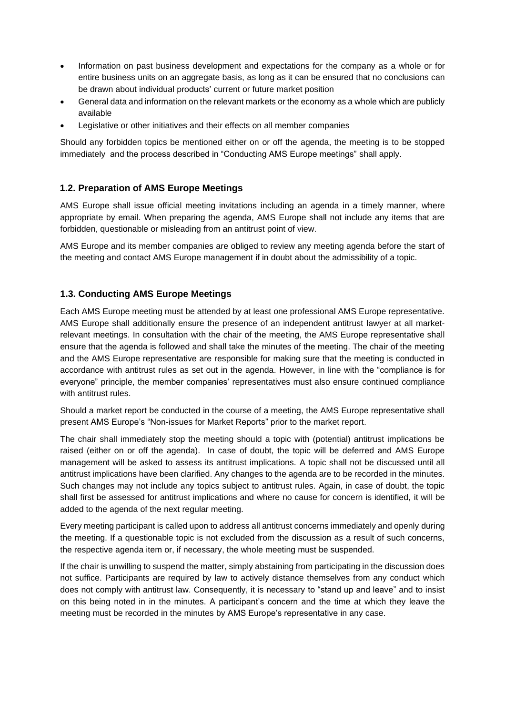- Information on past business development and expectations for the company as a whole or for entire business units on an aggregate basis, as long as it can be ensured that no conclusions can be drawn about individual products' current or future market position
- General data and information on the relevant markets or the economy as a whole which are publicly available
- Legislative or other initiatives and their effects on all member companies

Should any forbidden topics be mentioned either on or off the agenda, the meeting is to be stopped immediately and the process described in "Conducting AMS Europe meetings" shall apply.

# **1.2. Preparation of AMS Europe Meetings**

AMS Europe shall issue official meeting invitations including an agenda in a timely manner, where appropriate by email. When preparing the agenda, AMS Europe shall not include any items that are forbidden, questionable or misleading from an antitrust point of view.

AMS Europe and its member companies are obliged to review any meeting agenda before the start of the meeting and contact AMS Europe management if in doubt about the admissibility of a topic.

#### **1.3. Conducting AMS Europe Meetings**

Each AMS Europe meeting must be attended by at least one professional AMS Europe representative. AMS Europe shall additionally ensure the presence of an independent antitrust lawyer at all marketrelevant meetings. In consultation with the chair of the meeting, the AMS Europe representative shall ensure that the agenda is followed and shall take the minutes of the meeting. The chair of the meeting and the AMS Europe representative are responsible for making sure that the meeting is conducted in accordance with antitrust rules as set out in the agenda. However, in line with the "compliance is for everyone" principle, the member companies' representatives must also ensure continued compliance with antitrust rules.

Should a market report be conducted in the course of a meeting, the AMS Europe representative shall present AMS Europe's "Non-issues for Market Reports" prior to the market report.

The chair shall immediately stop the meeting should a topic with (potential) antitrust implications be raised (either on or off the agenda). In case of doubt, the topic will be deferred and AMS Europe management will be asked to assess its antitrust implications. A topic shall not be discussed until all antitrust implications have been clarified. Any changes to the agenda are to be recorded in the minutes. Such changes may not include any topics subject to antitrust rules. Again, in case of doubt, the topic shall first be assessed for antitrust implications and where no cause for concern is identified, it will be added to the agenda of the next regular meeting.

Every meeting participant is called upon to address all antitrust concerns immediately and openly during the meeting. If a questionable topic is not excluded from the discussion as a result of such concerns, the respective agenda item or, if necessary, the whole meeting must be suspended.

If the chair is unwilling to suspend the matter, simply abstaining from participating in the discussion does not suffice. Participants are required by law to actively distance themselves from any conduct which does not comply with antitrust law. Consequently, it is necessary to "stand up and leave" and to insist on this being noted in in the minutes. A participant's concern and the time at which they leave the meeting must be recorded in the minutes by AMS Europe's representative in any case.